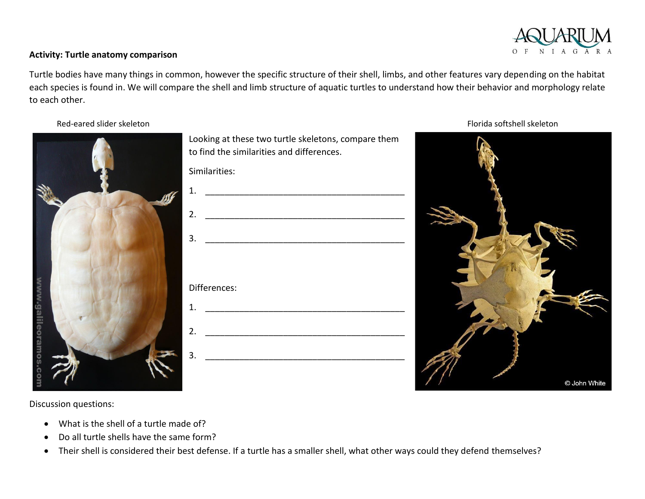

## **Activity: Turtle anatomy comparison**

Turtle bodies have many things in common, however the specific structure of their shell, limbs, and other features vary depending on the habitat each species is found in. We will compare the shell and limb structure of aquatic turtles to understand how their behavior and morphology relate to each other.



| to find the similarities and differences. |
|-------------------------------------------|
| Similarities:                             |
| 1.                                        |
| 2.                                        |
| 3.                                        |
|                                           |
| Differences:                              |
| 1.                                        |
|                                           |
| 2.                                        |
| 3.                                        |

Looking at these two turtle skeletons, compare them

Red-eared slider skeleton **Florida** softshell skeleton



Discussion questions:

- What is the shell of a turtle made of?
- Do all turtle shells have the same form?
- Their shell is considered their best defense. If a turtle has a smaller shell, what other ways could they defend themselves?